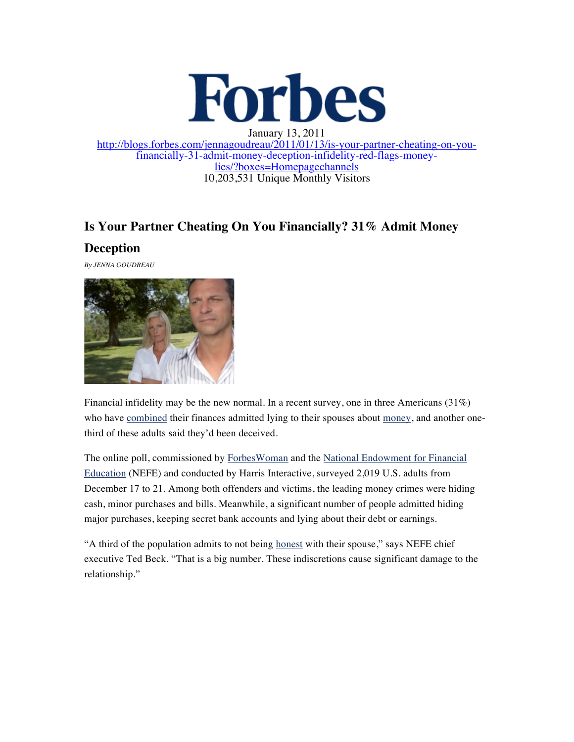

January 13, 2011 http://blogs.forbes.com/jennagoudreau/2011/01/13/is-your-partner-cheating-on-you- financially-31-admit-money-deception-infidelity-red-flags-money- lies/?boxes=Homepagechannels 10,203,531 Unique Monthly Visitors

## **Is Your Partner Cheating On You Financially? 31% Admit Money**

## **Deception**

*By JENNA GOUDREAU*



Financial infidelity may be the new normal. In a recent survey, one in three Americans  $(31\%)$ who have combined their finances admitted lying to their spouses about money, and another onethird of these adults said they'd been deceived.

The online poll, commissioned by ForbesWoman and the National Endowment for Financial Education (NEFE) and conducted by Harris Interactive, surveyed 2,019 U.S. adults from December 17 to 21. Among both offenders and victims, the leading money crimes were hiding cash, minor purchases and bills. Meanwhile, a significant number of people admitted hiding major purchases, keeping secret bank accounts and lying about their debt or earnings.

"A third of the population admits to not being honest with their spouse," says NEFE chief executive Ted Beck. "That is a big number. These indiscretions cause significant damage to the relationship."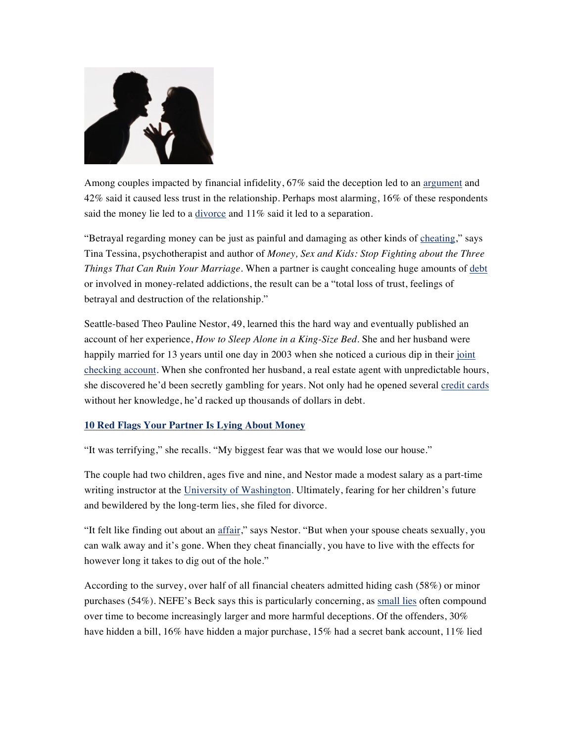

Among couples impacted by financial infidelity, 67% said the deception led to an argument and 42% said it caused less trust in the relationship. Perhaps most alarming, 16% of these respondents said the money lie led to a divorce and 11% said it led to a separation.

"Betrayal regarding money can be just as painful and damaging as other kinds of cheating," says Tina Tessina, psychotherapist and author of *Money, Sex and Kids: Stop Fighting about the Three Things That Can Ruin Your Marriage*. When a partner is caught concealing huge amounts of debt or involved in money-related addictions, the result can be a "total loss of trust, feelings of betrayal and destruction of the relationship."

Seattle-based Theo Pauline Nestor, 49, learned this the hard way and eventually published an account of her experience, *How to Sleep Alone in a King-Size Bed*. She and her husband were happily married for 13 years until one day in 2003 when she noticed a curious dip in their joint checking account. When she confronted her husband, a real estate agent with unpredictable hours, she discovered he'd been secretly gambling for years. Not only had he opened several credit cards without her knowledge, he'd racked up thousands of dollars in debt.

## **10 Red Flags Your Partner Is Lying About Money**

"It was terrifying," she recalls. "My biggest fear was that we would lose our house."

The couple had two children, ages five and nine, and Nestor made a modest salary as a part-time writing instructor at the University of Washington. Ultimately, fearing for her children's future and bewildered by the long-term lies, she filed for divorce.

"It felt like finding out about an affair," says Nestor. "But when your spouse cheats sexually, you can walk away and it's gone. When they cheat financially, you have to live with the effects for however long it takes to dig out of the hole."

According to the survey, over half of all financial cheaters admitted hiding cash (58%) or minor purchases (54%). NEFE's Beck says this is particularly concerning, as small lies often compound over time to become increasingly larger and more harmful deceptions. Of the offenders, 30% have hidden a bill, 16% have hidden a major purchase, 15% had a secret bank account, 11% lied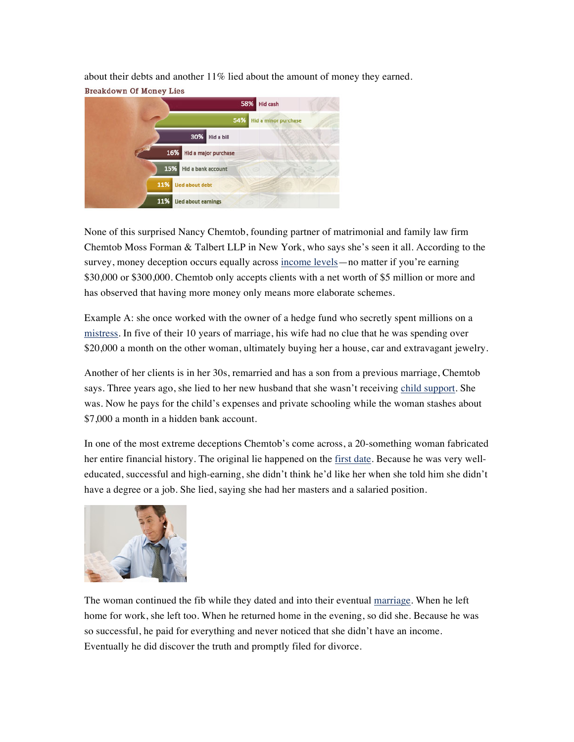about their debts and another 11% lied about the amount of money they earned. **Breakdown Of Money Lies** 



None of this surprised Nancy Chemtob, founding partner of matrimonial and family law firm Chemtob Moss Forman & Talbert LLP in New York, who says she's seen it all. According to the survey, money deception occurs equally across income levels—no matter if you're earning \$30,000 or \$300,000. Chemtob only accepts clients with a net worth of \$5 million or more and has observed that having more money only means more elaborate schemes.

Example A: she once worked with the owner of a hedge fund who secretly spent millions on a mistress. In five of their 10 years of marriage, his wife had no clue that he was spending over \$20,000 a month on the other woman, ultimately buying her a house, car and extravagant jewelry.

Another of her clients is in her 30s, remarried and has a son from a previous marriage, Chemtob says. Three years ago, she lied to her new husband that she wasn't receiving child support. She was. Now he pays for the child's expenses and private schooling while the woman stashes about \$7,000 a month in a hidden bank account.

In one of the most extreme deceptions Chemtob's come across, a 20-something woman fabricated her entire financial history. The original lie happened on the first date. Because he was very welleducated, successful and high-earning, she didn't think he'd like her when she told him she didn't have a degree or a job. She lied, saying she had her masters and a salaried position.



The woman continued the fib while they dated and into their eventual marriage. When he left home for work, she left too. When he returned home in the evening, so did she. Because he was so successful, he paid for everything and never noticed that she didn't have an income. Eventually he did discover the truth and promptly filed for divorce.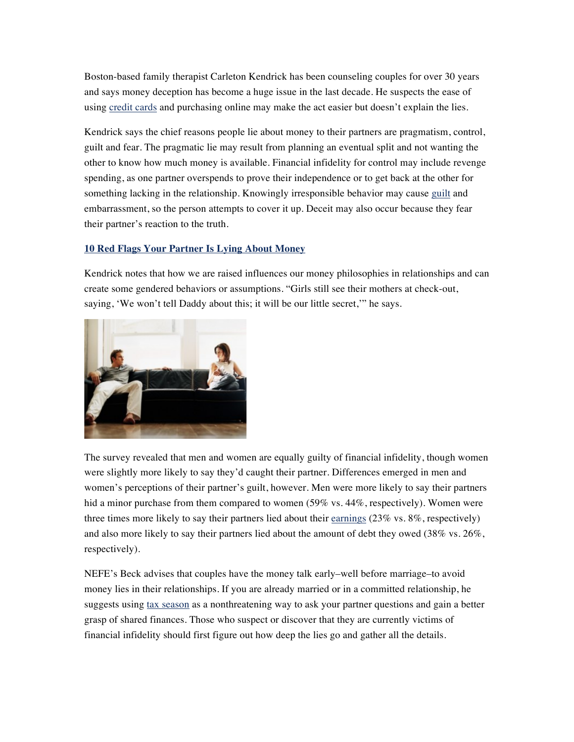Boston-based family therapist Carleton Kendrick has been counseling couples for over 30 years and says money deception has become a huge issue in the last decade. He suspects the ease of using credit cards and purchasing online may make the act easier but doesn't explain the lies.

Kendrick says the chief reasons people lie about money to their partners are pragmatism, control, guilt and fear. The pragmatic lie may result from planning an eventual split and not wanting the other to know how much money is available. Financial infidelity for control may include revenge spending, as one partner overspends to prove their independence or to get back at the other for something lacking in the relationship. Knowingly irresponsible behavior may cause guilt and embarrassment, so the person attempts to cover it up. Deceit may also occur because they fear their partner's reaction to the truth.

## **10 Red Flags Your Partner Is Lying About Money**

Kendrick notes that how we are raised influences our money philosophies in relationships and can create some gendered behaviors or assumptions. "Girls still see their mothers at check-out, saying, 'We won't tell Daddy about this; it will be our little secret," he says.



The survey revealed that men and women are equally guilty of financial infidelity, though women were slightly more likely to say they'd caught their partner. Differences emerged in men and women's perceptions of their partner's guilt, however. Men were more likely to say their partners hid a minor purchase from them compared to women (59% vs. 44%, respectively). Women were three times more likely to say their partners lied about their earnings  $(23\% \text{ vs. } 8\%, \text{ respectively})$ and also more likely to say their partners lied about the amount of debt they owed (38% vs. 26%, respectively).

NEFE's Beck advises that couples have the money talk early–well before marriage–to avoid money lies in their relationships. If you are already married or in a committed relationship, he suggests using tax season as a nonthreatening way to ask your partner questions and gain a better grasp of shared finances. Those who suspect or discover that they are currently victims of financial infidelity should first figure out how deep the lies go and gather all the details.